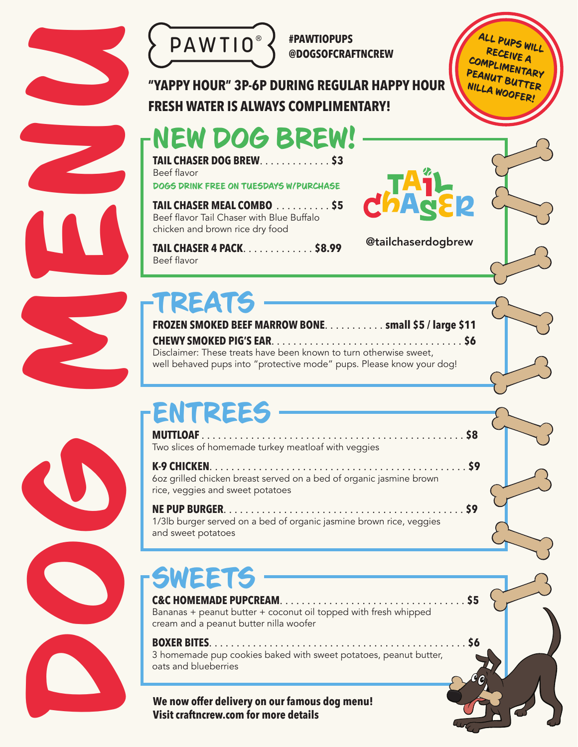



**@DOGSOFCRAFTNCREW**

@tailchaserdogbrew

ALL PUPS WILL RECEIVE A COMPLIMENTARY PEANUT BUTTER NILLA WOOFER!

**"YAPPY HOUR" 3P-6P DURING REGULAR HAPPY HOUR FRESH WATER IS ALWAYS COMPLIMENTARY!**

### NEW DOG BREW!

**TAIL CHASER DOG BREW**............. **\$3** Beef flavor DOGS DRINK FREE ON TUESDAYS W/PURCHASE

**TAIL CHASER MEAL COMBO** .......... **\$5** Beef flavor Tail Chaser with Blue Buffalo chicken and brown rice dry food

**TAIL CHASER 4 PACK**............. **\$8.99** Beef flavor

**FROZEN SMOKED BEEF MARROW BONE**........... **small \$5 / large \$11 CHEWY SMOKED PIG'S EAR**................................... **\$6** Disclaimer: These treats have been known to turn otherwise sweet, well behaved pups into "protective mode" pups. Please know your dog!

# ENTREES

**MUTTLOAF** ................................................ **\$8** Two slices of homemade turkey meatloaf with veggies

**K-9 CHICKEN**............................................... **\$9** 6oz grilled chicken breast served on a bed of organic jasmine brown rice, veggies and sweet potatoes

**NE PUP BURGER**............................................ **\$9** 1/3lb burger served on a bed of organic jasmine brown rice, veggies and sweet potatoes

## SWEETS

**C&C HOMEMADE PUPCREAM**.................................. **\$5** Bananas + peanut butter + coconut oil topped with fresh whipped cream and a peanut butter nilla woofer

#### **BOXER BITES**............................................... **\$6**

3 homemade pup cookies baked with sweet potatoes, peanut butter, oats and blueberries

**We now offer delivery on our famous dog menu! Visit craftncrew.com for more details**